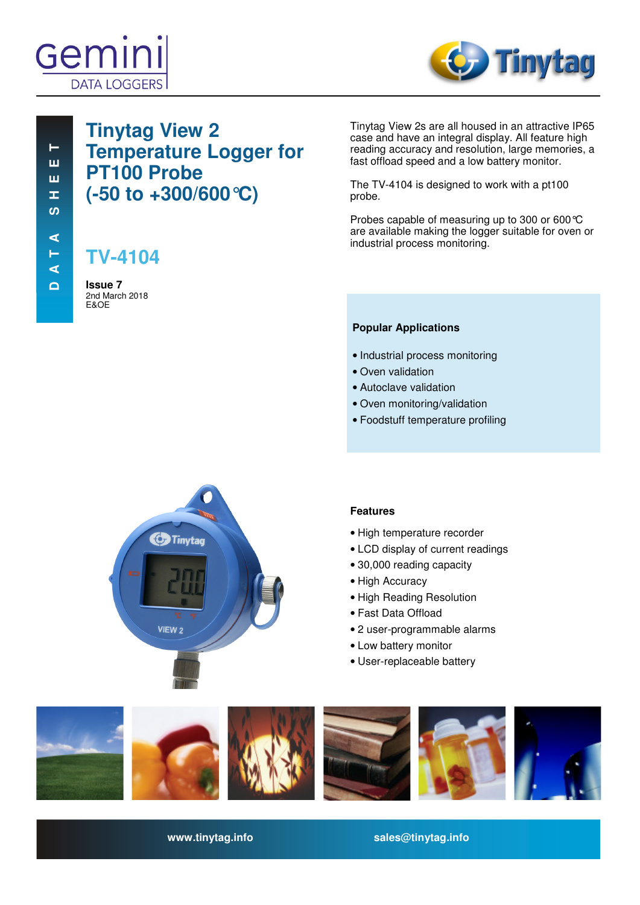



 **D A T A S H E E T D A T A S H E E T**  $\vdash$ ш ш **I** ທ  $\blacktriangleleft$ Н  $\blacktriangleleft$  $\Box$ 

## **Tinytag View 2 Temperature Logger for PT100 Probe (-50 to +300/600°C)**

# **TV-4104**

**Issue 7**  2nd March 2018 E&OE

Tinytag View 2s are all housed in an attractive IP65 case and have an integral display. All feature high reading accuracy and resolution, large memories, a fast offload speed and a low battery monitor.

The TV-4104 is designed to work with a pt100 probe.

Probes capable of measuring up to 300 or 600°C are available making the logger suitable for oven or industrial process monitoring.

## **Popular Applications**

- Industrial process monitoring
- Oven validation
- Autoclave validation
- Oven monitoring/validation
- Foodstuff temperature profiling



## **Features**

- High temperature recorder
- LCD display of current readings
- 30,000 reading capacity
- High Accuracy
- High Reading Resolution
- Fast Data Offload
- 2 user-programmable alarms
- Low battery monitor
- User-replaceable battery



**www.tinytag.info sales@tinytag.info**